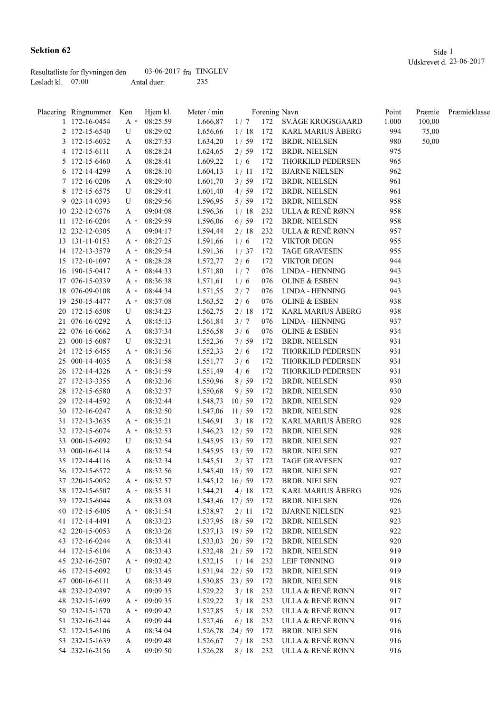|                   | Resultatliste for flyvningen den | 03-06-2017 $fra$ TINGLEV |     |
|-------------------|----------------------------------|--------------------------|-----|
| Løsladt kl. 07:00 |                                  | Antal duer:              | 235 |

| Placering Ringnummer | Køn   | Hjem kl. | Meter / min             |          |     | Forening Navn            | Point | Præmie | Præmieklasse |
|----------------------|-------|----------|-------------------------|----------|-----|--------------------------|-------|--------|--------------|
| 1 172-16-0454        | $A^*$ | 08:25:59 | 1.666,87                | 1/7      | 172 | SV.ÅGE KROGSGAARD        | 1.000 | 100,00 |              |
| 2 172-15-6540        | U     | 08:29:02 | 1.656,66                | 1/18     | 172 | KARL MARIUS ÅBERG        | 994   | 75,00  |              |
| 3 172-15-6032        | A     | 08:27:53 | 1.634,20                | 1/59     | 172 | <b>BRDR. NIELSEN</b>     | 980   | 50,00  |              |
| 4 172-15-6111        | A     | 08:28:24 | 1.624,65                | 2/59     | 172 | <b>BRDR. NIELSEN</b>     | 975   |        |              |
| 5 172-15-6460        | A     | 08:28:41 | 1.609,22                | 1/6      | 172 | THORKILD PEDERSEN        | 965   |        |              |
| 6 172-14-4299        | A     | 08:28:10 | 1.604,13                | 1/11     | 172 | <b>BJARNE NIELSEN</b>    | 962   |        |              |
| 7 172-16-0206        | A     | 08:29:40 | 1.601,70                | 3/59     | 172 | <b>BRDR. NIELSEN</b>     | 961   |        |              |
| 8 172-15-6575        | U     | 08:29:41 | 1.601,40                | 4/59     | 172 | <b>BRDR. NIELSEN</b>     | 961   |        |              |
| 9 023-14-0393        | U     | 08:29:56 | 1.596,95                | 5/59     | 172 | <b>BRDR. NIELSEN</b>     | 958   |        |              |
| 10 232-12-0376       | A     | 09:04:08 | 1.596,36                | 1/18     | 232 | ULLA & RENÈ RØNN         | 958   |        |              |
| 11 172-16-0204       | $A^*$ | 08:29:59 | 1.596,06                | 6/59     | 172 | <b>BRDR. NIELSEN</b>     | 958   |        |              |
| 12 232-12-0305       | A     | 09:04:17 | 1.594,44                | 2/18     | 232 | ULLA & RENÈ RØNN         | 957   |        |              |
| 13 131-11-0153       | $A^*$ | 08:27:25 | 1.591,66                | 1/6      | 172 | <b>VIKTOR DEGN</b>       | 955   |        |              |
| 14 172-13-3579       | $A^*$ | 08:29:54 | 1.591,36                | 1/37     | 172 | <b>TAGE GRAVESEN</b>     | 955   |        |              |
| 15 172-10-1097       | $A^*$ | 08:28:28 | 1.572,77                | 2/6      | 172 | <b>VIKTOR DEGN</b>       | 944   |        |              |
| 16 190-15-0417       | A *   | 08:44:33 | 1.571,80                | 1/7      | 076 | LINDA - HENNING          | 943   |        |              |
| 17 076-15-0339       | A *   | 08:36:38 | 1.571,61                | 1/6      | 076 | <b>OLINE &amp; ESBEN</b> | 943   |        |              |
| 18 076-09-0108       | A *   | 08:44:34 | 1.571,55                | 2/7      | 076 | LINDA - HENNING          | 943   |        |              |
| 19 250-15-4477       | $A^*$ | 08:37:08 | 1.563,52                | $2/6$    | 076 | <b>OLINE &amp; ESBEN</b> | 938   |        |              |
| 20 172-15-6508       | U     | 08:34:23 | 1.562,75                | 2/18     | 172 | <b>KARL MARIUS ÅBERG</b> | 938   |        |              |
| 21 076-16-0292       |       | 08:45:13 | 1.561,84                |          | 076 | LINDA - HENNING          | 937   |        |              |
| 22 076-16-0662       | A     |          |                         | 3/7      | 076 | <b>OLINE &amp; ESBEN</b> | 934   |        |              |
|                      | A     | 08:37:34 | 1.556,58                | 3/6      |     |                          |       |        |              |
| 23 000-15-6087       | U     | 08:32:31 | 1.552,36                | 7/59     | 172 | <b>BRDR. NIELSEN</b>     | 931   |        |              |
| 24 172-15-6455       | $A^*$ | 08:31:56 | 1.552,33                | 2/6      | 172 | THORKILD PEDERSEN        | 931   |        |              |
| 25 000-14-4035       | A     | 08:31:58 | 1.551,77                | 3/6      | 172 | THORKILD PEDERSEN        | 931   |        |              |
| 26 172-14-4326       | $A^*$ | 08:31:59 | 1.551,49                | 4/6      | 172 | THORKILD PEDERSEN        | 931   |        |              |
| 27 172-13-3355       | A     | 08:32:36 | 1.550,96                | 8/59     | 172 | <b>BRDR. NIELSEN</b>     | 930   |        |              |
| 28 172-15-6580       | A     | 08:32:37 | 1.550,68                | 9/59     | 172 | <b>BRDR. NIELSEN</b>     | 930   |        |              |
| 29 172-14-4592       | A     | 08:32:44 | 1.548,73                | 10/59    | 172 | <b>BRDR. NIELSEN</b>     | 929   |        |              |
| 30 172-16-0247       | A     | 08:32:50 | 1.547,06                | 11/59    | 172 | <b>BRDR. NIELSEN</b>     | 928   |        |              |
| 31 172-13-3635       | $A^*$ | 08:35:21 | 1.546,91                | 3/18     | 172 | KARL MARIUS ÅBERG        | 928   |        |              |
| 32 172-15-6074       | $A^*$ | 08:32:53 | 1.546,23                | 12/59    | 172 | <b>BRDR. NIELSEN</b>     | 928   |        |              |
| 33 000-15-6092       | U     | 08:32:54 | 1.545,95                | 13/59    | 172 | <b>BRDR. NIELSEN</b>     | 927   |        |              |
| 33 000-16-6114       | A     | 08:32:54 | $1.545,95$ 13/59        |          | 172 | <b>BRDR. NIELSEN</b>     | 927   |        |              |
| 35 172-14-4116       | A     | 08:32:34 | 1.545,51                | 2/37     | 172 | <b>TAGE GRAVESEN</b>     | 927   |        |              |
| 36 172-15-6572       | A     | 08:32:56 | 1.545,40                | 15/59    | 172 | <b>BRDR. NIELSEN</b>     | 927   |        |              |
| 37 220-15-0052       | A *   | 08:32:57 | $1.545, 12 \quad 16/59$ |          | 172 | <b>BRDR. NIELSEN</b>     | 927   |        |              |
| 38 172-15-6507       | $A^*$ | 08:35:31 | 1.544,21                | 4/18     | 172 | <b>KARL MARIUS ÅBERG</b> | 926   |        |              |
| 39 172-15-6044       | A     | 08:33:03 | 1.543,46                | 17/59    | 172 | <b>BRDR. NIELSEN</b>     | 926   |        |              |
| 40 172-15-6405       | A *   | 08:31:54 | 1.538,97                | 2/11     | 172 | <b>BJARNE NIELSEN</b>    | 923   |        |              |
| 41 172-14-4491       | A     | 08:33:23 | $1.537,95$ 18 / 59      |          | 172 | <b>BRDR. NIELSEN</b>     | 923   |        |              |
| 42 220-15-0053       | A     | 08:33:26 | 1.537,13                | 19/59    | 172 | <b>BRDR. NIELSEN</b>     | 922   |        |              |
| 43 172-16-0244       | A     | 08:33:41 | 1.533,03                | 20/59    | 172 | <b>BRDR. NIELSEN</b>     | 920   |        |              |
| 44 172-15-6104       | A     | 08:33:43 | 1.532,48                | 21/59    | 172 | <b>BRDR. NIELSEN</b>     | 919   |        |              |
| 45 232-16-2507       | A *   | 09:02:42 | 1.532,15                | 1/14     | 232 | LEIF TØNNING             | 919   |        |              |
| 46 172-15-6092       | U     | 08:33:45 | 1.531,94                | 22/59    | 172 | <b>BRDR. NIELSEN</b>     | 919   |        |              |
| 47 000-16-6111       | A     | 08:33:49 | 1.530,85                | 23/59    | 172 | <b>BRDR. NIELSEN</b>     | 918   |        |              |
| 48 232-12-0397       | A     | 09:09:35 | 1.529,22                | 3/18     | 232 | ULLA & RENÈ RØNN         | 917   |        |              |
| 48 232-15-1699       | $A^*$ | 09:09:35 | 1.529,22                | 3/18     | 232 | ULLA & RENÈ RØNN         | 917   |        |              |
| 50 232-15-1570       | A *   | 09:09:42 | 1.527,85                | $5/18$   | 232 | ULLA & RENÈ RØNN         | 917   |        |              |
| 51 232-16-2144       | A     | 09:09:44 | 1.527,46                | $6/18$   | 232 | ULLA & RENÈ RØNN         | 916   |        |              |
| 52 172-15-6106       | A     | 08:34:04 | 1.526,78                | 24/59    | 172 | <b>BRDR. NIELSEN</b>     | 916   |        |              |
| 53 232-15-1639       | A     | 09:09:48 | 1.526,67                | 7/18     | 232 | ULLA & RENÈ RØNN         | 916   |        |              |
| 54 232-16-2156       | A     | 09:09:50 | 1.526,28                | 8/18 232 |     | ULLA & RENÈ RØNN         | 916   |        |              |
|                      |       |          |                         |          |     |                          |       |        |              |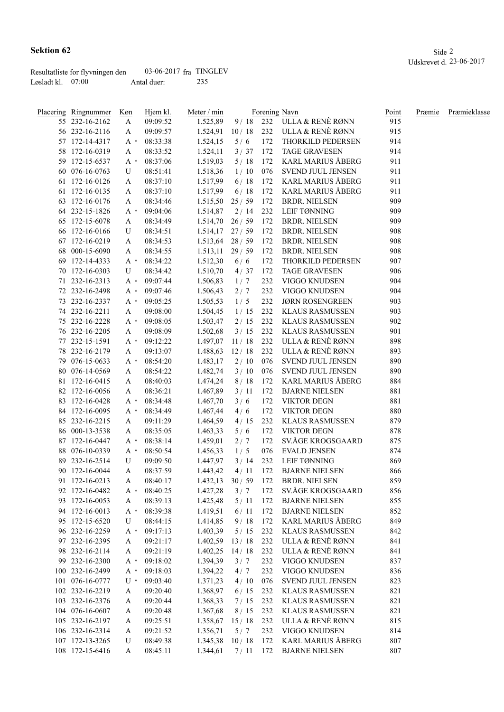|                   | Resultatliste for flyvningen den | 03-06-2017 $fra$ TINGLEV |     |
|-------------------|----------------------------------|--------------------------|-----|
| Løsladt kl. 07:00 |                                  | Antal duer:              | 235 |

|     | Placering Ringnummer | Køn    | Hjem kl. | Meter / min      |        |     | Forening Navn              | Point | Præmie | Præmieklasse |
|-----|----------------------|--------|----------|------------------|--------|-----|----------------------------|-------|--------|--------------|
|     | 55 232-16-2162       | A      | 09:09:52 | 1.525,89         |        |     | 9/18 232 ULLA & RENÈ RØNN  | 915   |        |              |
|     | 56 232-16-2116       | A      | 09:09:57 | 1.524,91         |        |     | 10/18 232 ULLA & RENÈ RØNN | 915   |        |              |
|     | 57 172-14-4317       | A *    | 08:33:38 | 1.524,15         | 5/6    | 172 | THORKILD PEDERSEN          | 914   |        |              |
|     | 58 172-16-0319       | A      | 08:33:52 | 1.524,11         | 3/37   | 172 | <b>TAGE GRAVESEN</b>       | 914   |        |              |
|     | 59 172-15-6537       | $A^*$  | 08:37:06 | 1.519,03         | 5/18   | 172 | <b>KARL MARIUS ÅBERG</b>   | 911   |        |              |
|     | 60 076-16-0763       | U      | 08:51:41 | 1.518,36         | 1/10   | 076 | SVEND JUUL JENSEN          | 911   |        |              |
|     | 61 172-16-0126       | A      | 08:37:10 | 1.517,99         | 6/18   | 172 | <b>KARL MARIUS ÅBERG</b>   | 911   |        |              |
|     | 61 172-16-0135       | A      | 08:37:10 | 1.517,99         | 6/18   | 172 | <b>KARL MARIUS ÅBERG</b>   | 911   |        |              |
|     | 63 172-16-0176       | A      | 08:34:46 | 1.515,50         | 25/59  | 172 | <b>BRDR. NIELSEN</b>       | 909   |        |              |
|     | 64 232-15-1826       | A *    | 09:04:06 | 1.514,87         | 2/14   | 232 | LEIF TØNNING               | 909   |        |              |
|     | 65 172-15-6078       | A      | 08:34:49 | 1.514,70         | 26/59  | 172 | <b>BRDR. NIELSEN</b>       | 909   |        |              |
|     | 66 172-16-0166       | U      | 08:34:51 | 1.514,17         | 27/59  | 172 | <b>BRDR. NIELSEN</b>       | 908   |        |              |
|     | 67 172-16-0219       | A      | 08:34:53 | 1.513,64         | 28/59  | 172 | <b>BRDR. NIELSEN</b>       | 908   |        |              |
| 68  | 000-15-6090          | A      | 08:34:55 | 1.513,11         | 29/59  | 172 | <b>BRDR. NIELSEN</b>       | 908   |        |              |
|     | 69 172-14-4333       | $A^*$  | 08:34:22 | 1.512,30         | 6/6    | 172 | THORKILD PEDERSEN          | 907   |        |              |
|     | 70 172-16-0303       | U      | 08:34:42 | 1.510,70         | 4/37   | 172 | <b>TAGE GRAVESEN</b>       | 906   |        |              |
|     | 71 232-16-2313       | $A^*$  | 09:07:44 | 1.506,83         | 1/7    | 232 | VIGGO KNUDSEN              | 904   |        |              |
|     | 72 232-16-2498       | A *    | 09:07:46 | 1.506,43         | 2/7    | 232 | VIGGO KNUDSEN              | 904   |        |              |
|     | 73 232-16-2337       | $A^*$  | 09:05:25 | 1.505,53         | 1/5    | 232 | <b>JØRN ROSENGREEN</b>     | 903   |        |              |
|     | 74 232-16-2211       | A      | 09:08:00 | 1.504,45         | 1/15   | 232 | <b>KLAUS RASMUSSEN</b>     | 903   |        |              |
|     | 75 232-16-2228       | $A^*$  | 09:08:05 | 1.503,47         | 2/15   | 232 | KLAUS RASMUSSEN            | 902   |        |              |
|     | 76 232-16-2205       | A      | 09:08:09 | 1.502,68         | 3/15   | 232 | KLAUS RASMUSSEN            | 901   |        |              |
| 77  | 232-15-1591          | A *    | 09:12:22 | 1.497,07         | 11/18  | 232 | ULLA & RENÈ RØNN           | 898   |        |              |
|     | 78 232-16-2179       | A      | 09:13:07 | 1.488,63         | 12/18  | 232 | ULLA & RENÈ RØNN           | 893   |        |              |
| 79. | 076-15-0633          | $A^*$  | 08:54:20 | 1.483,17         | 2/10   | 076 | SVEND JUUL JENSEN          | 890   |        |              |
|     | 80 076-14-0569       | A      | 08:54:22 | 1.482,74         | 3/10   | 076 | SVEND JUUL JENSEN          | 890   |        |              |
|     | 81 172-16-0415       | А      | 08:40:03 | 1.474,24         | 8/18   | 172 | <b>KARL MARIUS ÅBERG</b>   | 884   |        |              |
|     | 82 172-16-0056       | A      | 08:36:21 | 1.467,89         | 3/11   | 172 | <b>BJARNE NIELSEN</b>      | 881   |        |              |
|     | 83 172-16-0428       | $A^*$  | 08:34:48 | 1.467,70         | 3/6    | 172 | <b>VIKTOR DEGN</b>         | 881   |        |              |
|     | 84 172-16-0095       | A *    | 08:34:49 | 1.467,44         | 4/6    | 172 | <b>VIKTOR DEGN</b>         | 880   |        |              |
|     | 85 232-16-2215       | A      | 09:11:29 | 1.464,59         | 4/15   | 232 | <b>KLAUS RASMUSSEN</b>     | 879   |        |              |
|     | 86 000-13-3538       | A      | 08:35:05 | 1.463,33         | 5/6    | 172 | <b>VIKTOR DEGN</b>         | 878   |        |              |
|     | 87 172-16-0447       | A *    | 08:38:14 | 1.459,01         | 2/7    | 172 | SV.ÅGE KROGSGAARD          | 875   |        |              |
|     | 88 076-10-0339       | A *    | 08:50:54 | 1.456,33         | 1/5    | 076 | <b>EVALD JENSEN</b>        | 874   |        |              |
|     | 89 232-16-2514       | U      | 09:09:50 | 1.447,97         | 3/14   | 232 | LEIF TØNNING               | 869   |        |              |
|     | 90 172-16-0044       | A      | 08:37:59 | 1.443,42         | 4/11   | 172 | <b>BJARNE NIELSEN</b>      | 866   |        |              |
|     | 91 172-16-0213       | A      | 08:40:17 | $1.432,13$ 30/59 |        | 172 | <b>BRDR. NIELSEN</b>       | 859   |        |              |
|     | 92 172-16-0482       | $A^*$  | 08:40:25 | 1.427,28         | 3/7    | 172 | SV.ÅGE KROGSGAARD          | 856   |        |              |
|     | 93 172-16-0053       | A      | 08:39:13 | 1.425,48         | 5/11   | 172 | <b>BJARNE NIELSEN</b>      | 855   |        |              |
|     | 94 172-16-0013       | $A^*$  | 08:39:38 | 1.419,51         | 6/11   | 172 | <b>BJARNE NIELSEN</b>      | 852   |        |              |
|     | 95 172-15-6520       | U      | 08:44:15 | 1.414,85         | 9/18   | 172 | <b>KARL MARIUS ÅBERG</b>   | 849   |        |              |
|     | 96 232-16-2259       | $A^*$  | 09:17:13 | 1.403,39         | $5/15$ | 232 | <b>KLAUS RASMUSSEN</b>     | 842   |        |              |
|     | 97 232-16-2395       | A      | 09:21:17 | 1.402,59         | 13/18  | 232 | ULLA & RENÈ RØNN           | 841   |        |              |
|     | 98 232-16-2114       | A      | 09:21:19 | 1.402,25         | 14/18  | 232 | ULLA & RENÈ RØNN           | 841   |        |              |
|     | 99 232-16-2300       | $A^*$  | 09:18:02 | 1.394,39         | 3/7    | 232 | VIGGO KNUDSEN              | 837   |        |              |
|     | 100 232-16-2499      | $A^*$  | 09:18:03 | 1.394,22         | 4/7    | 232 | VIGGO KNUDSEN              | 836   |        |              |
|     | 101 076-16-0777      | $U^*$  | 09:03:40 | 1.371,23         | 4/10   | 076 | SVEND JUUL JENSEN          | 823   |        |              |
|     | 102 232-16-2219      | A      | 09:20:40 | 1.368,97         | 6/15   | 232 | <b>KLAUS RASMUSSEN</b>     | 821   |        |              |
|     | 103 232-16-2376      | A      | 09:20:44 | 1.368,33         | 7/15   | 232 | <b>KLAUS RASMUSSEN</b>     | 821   |        |              |
|     | 104 076-16-0607      | A      | 09:20:48 | 1.367,68         | 8/15   | 232 | <b>KLAUS RASMUSSEN</b>     | 821   |        |              |
|     | 105 232-16-2197      | A      | 09:25:51 | 1.358,67         | 15/18  | 232 | ULLA & RENÈ RØNN           | 815   |        |              |
|     | 106 232-16-2314      |        | 09:21:52 | 1.356,71         | 5/7    | 232 | VIGGO KNUDSEN              | 814   |        |              |
|     | 107 172-13-3265      | A<br>U | 08:49:38 | 1.345,38         | 10/18  | 172 | <b>KARL MARIUS ÅBERG</b>   | 807   |        |              |
|     |                      |        |          |                  |        |     |                            |       |        |              |
|     | 108 172-15-6416      | A      | 08:45:11 | 1.344,61         | 7/11   | 172 | <b>BJARNE NIELSEN</b>      | 807   |        |              |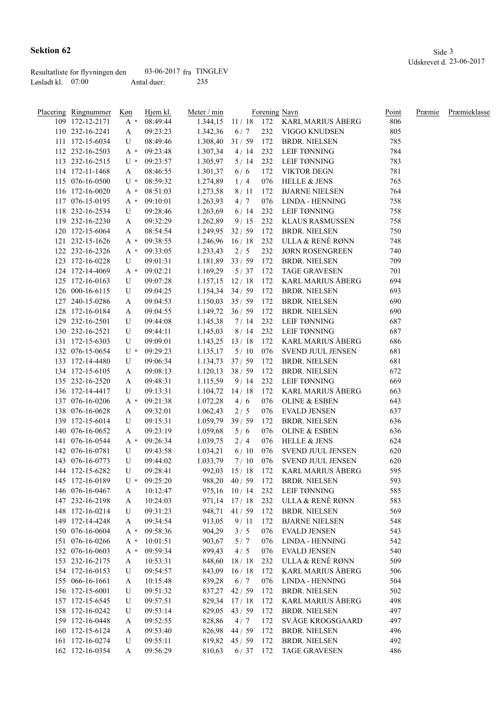|                   | Resultatliste for flyvningen den | $03-06-2017$ fra TINGLEV |     |
|-------------------|----------------------------------|--------------------------|-----|
| Løsladt kl. 07:00 |                                  | Antal duer:              | 235 |

| Placering Ringnummer | Køn                 | Hjem kl. | Meter / min |              | Forening Navn |                          | Point | Præmie | Præmieklasse |
|----------------------|---------------------|----------|-------------|--------------|---------------|--------------------------|-------|--------|--------------|
| 109 172-12-2171      | $A^*$               | 08:49:44 | 1.344,15    | 11/18        | 172           | KARL MARIUS ÅBERG        | 806   |        |              |
| 110 232-16-2241      | A                   | 09:23:23 | 1.342,36    | 6/7          | 232           | VIGGO KNUDSEN            | 805   |        |              |
| 111 172-15-6034      | U                   | 08:49:46 | 1.308,40    | 31/59        | 172           | <b>BRDR. NIELSEN</b>     | 785   |        |              |
| 112 232-16-2503      | $A^*$               | 09:23:48 | 1.307,34    | 4/14         | 232           | <b>LEIF TØNNING</b>      | 784   |        |              |
| 113 232-16-2515      | $U^*$               | 09:23:57 | 1.305,97    | 5/14         | 232           | LEIF TØNNING             | 783   |        |              |
| 114 172-11-1468      | A                   | 08:46:55 | 1.301,37    | 6/6          | 172           | <b>VIKTOR DEGN</b>       | 781   |        |              |
| 115 076-16-0500      | $U^*$               | 08:59:32 | 1.274,89    | 1/4          | 076           | <b>HELLE &amp; JENS</b>  | 765   |        |              |
| 116 172-16-0020      | $A^*$               | 08:51:03 | 1.273,58    | 8/11         | 172           | <b>BJARNE NIELSEN</b>    | 764   |        |              |
| 117 076-15-0195      | $A^*$               | 09:10:01 | 1.263,93    | 4/7          | 076           | LINDA - HENNING          | 758   |        |              |
| 118 232-16-2534      | U                   | 09:28:46 | 1.263,69    | 6/14         | 232           | <b>LEIF TØNNING</b>      | 758   |        |              |
| 119 232-16-2230      | A                   | 09:32:29 | 1.262,89    | 9/15         | 232           | <b>KLAUS RASMUSSEN</b>   | 758   |        |              |
| 120 172-15-6064      | A                   | 08:54:54 | 1.249,95    | 32/59        | 172           | <b>BRDR. NIELSEN</b>     | 750   |        |              |
| 121 232-15-1626      | $A^*$               | 09:38:55 | 1.246,96    | 16/18        | 232           | ULLA & RENÈ RØNN         | 748   |        |              |
| 122 232-16-2326      | $A^*$               | 09:33:05 | 1.233,43    | 2/5          | 232           | <b>JØRN ROSENGREEN</b>   | 740   |        |              |
| 123 172-16-0228      | U                   | 09:01:31 | 1.181,89    | 33/59        | 172           | <b>BRDR. NIELSEN</b>     | 709   |        |              |
| 124 172-14-4069      | $A^*$               | 09:02:21 | 1.169,29    | 5/37         | 172           | <b>TAGE GRAVESEN</b>     | 701   |        |              |
| 125 172-16-0163      | U                   | 09:07:28 | 1.157,15    | 12/18        | 172           | <b>KARL MARIUS ÅBERG</b> | 694   |        |              |
| 126 000-16-6115      | U                   | 09:04:25 | 1.154,34    | 34/59        | 172           | <b>BRDR. NIELSEN</b>     | 693   |        |              |
| 127 240-15-0286      | A                   | 09:04:53 | 1.150,03    | 35/59        | 172           | <b>BRDR. NIELSEN</b>     | 690   |        |              |
| 128 172-16-0184      | A                   | 09:04:55 | 1.149,72    | 36/59        | 172           | <b>BRDR. NIELSEN</b>     | 690   |        |              |
| 129 232-16-2501      | U                   | 09:44:08 | 1.145,38    | 7/14         | 232           | LEIF TØNNING             | 687   |        |              |
| 130 232-16-2521      | U                   | 09:44:11 | 1.145,03    | 8/14         | 232           | LEIF TØNNING             | 687   |        |              |
| 131 172-15-6303      | U                   | 09:09:01 | 1.143,25    | 13/18        | 172           | <b>KARL MARIUS ÅBERG</b> | 686   |        |              |
| 132 076-15-0654      | $U^*$               | 09:29:23 | 1.135,17    | 5/10         | 076           | SVEND JUUL JENSEN        | 681   |        |              |
| 133 172-14-4480      | U                   | 09:06:34 | 1.134,73    | 37/59        | 172           | <b>BRDR. NIELSEN</b>     | 681   |        |              |
| 134 172-15-6105      | A                   | 09:08:13 | 1.120,13    | 38/59        | 172           | <b>BRDR. NIELSEN</b>     | 672   |        |              |
| 135 232-16-2520      | A                   | 09:48:31 | 1.115,59    | 9/14         | 232           | LEIF TØNNING             | 669   |        |              |
| 136 172-14-4417      | U                   | 09:13:31 | 1.104,72    | 14/18        | 172           | KARL MARIUS ÅBERG        | 663   |        |              |
| 137 076-16-0206      | $A^*$               | 09:21:38 | 1.072,28    | 4/6          | 076           | <b>OLINE &amp; ESBEN</b> | 643   |        |              |
| 138 076-16-0628      | A                   | 09:32:01 | 1.062,43    | 2/5          | 076           | <b>EVALD JENSEN</b>      | 637   |        |              |
| 139 172-15-6014      | U                   | 09:15:31 | 1.059,79    | 39/59        | 172           | <b>BRDR. NIELSEN</b>     | 636   |        |              |
| 140 076-16-0652      | A                   | 09:23:19 | 1.059,68    | 5/6          | 076           | OLINE $\&$ ESBEN         | 636   |        |              |
| 141 076-16-0544      | $A^*$               | 09:26:34 | 1.039,75    | 2/4          | 076           | <b>HELLE &amp; JENS</b>  | 624   |        |              |
| 142 076-16-0781      | U                   | 09:43:58 | 1.034,21    | 6/10         | 076           | <b>SVEND JUUL JENSEN</b> | 620   |        |              |
| 143 076-16-0773      | U                   | 09:44:02 | 1.033,79    | 7/10         | 076           | SVEND JUUL JENSEN        | 620   |        |              |
| 144 172-15-6282      | U                   | 09:28:41 | 992,03      | 15/18        | 172           | <b>KARL MARIUS ÅBERG</b> | 595   |        |              |
| 145 172-16-0189      | $\mathbf{U}$ $\ast$ | 09:25:20 |             | 988,20 40/59 | 172           | <b>BRDR. NIELSEN</b>     | 593   |        |              |
| 146 076-16-0467      | A                   | 10:12:47 | 975,16      | 10/14        | 232           | LEIF TØNNING             | 585   |        |              |
| 147 232-16-2198      | A                   | 10:24:03 | 971,14      | 17/18        | 232           | ULLA & RENÈ RØNN         | 583   |        |              |
| 148 172-16-0214      | U                   | 09:31:23 | 948,71      | 41/59        | 172           | <b>BRDR. NIELSEN</b>     | 569   |        |              |
| 149 172-14-4248      | A                   | 09:34:54 | 913,05      | 9/11         | 172           | <b>BJARNE NIELSEN</b>    | 548   |        |              |
| 150 076-16-0604      | $A^*$               | 09:58:36 | 904,29      | 3/5          | 076           | <b>EVALD JENSEN</b>      | 543   |        |              |
| 151 076-16-0266      | $A^*$               | 10:01:51 | 903,67      | 5/7          | 076           | LINDA - HENNING          | 542   |        |              |
| 152 076-16-0603      | $A^*$               | 09:59:34 | 899,43      | 4/5          | 076           | <b>EVALD JENSEN</b>      | 540   |        |              |
| 153 232-16-2175      | A                   | 10:53:31 | 848,60      | 18/18        | 232           | ULLA & RENÈ RØNN         | 509   |        |              |
| 154 172-16-0153      | U                   | 09:54:57 | 843,09      | 16/18        | 172           | <b>KARL MARIUS ÅBERG</b> | 506   |        |              |
| 155 066-16-1661      | A                   | 10:15:48 | 839,28      | 6/7          | 076           | LINDA - HENNING          | 504   |        |              |
| 156 172-15-6001      | U                   | 09:51:32 | 837,27      | 42/59        | 172           | <b>BRDR. NIELSEN</b>     | 502   |        |              |
| 157 172-15-6545      | U                   | 09:57:51 | 829,34      | 17/18        | 172           | <b>KARL MARIUS ÅBERG</b> | 498   |        |              |
| 158 172-16-0242      | U                   | 09:53:14 | 829,05      | 43/59        | 172           | <b>BRDR. NIELSEN</b>     | 497   |        |              |
| 159 172-16-0448      | A                   | 09:52:55 | 828,86      | 4/7          | 172           | SV.ÅGE KROGSGAARD        | 497   |        |              |
| 160 172-15-6124      | A                   | 09:53:40 | 826,98      | 44/59        | 172           | <b>BRDR. NIELSEN</b>     | 496   |        |              |
| 161 172-16-0274      | U                   | 09:55:11 | 819,82      | 45/59        | 172           | <b>BRDR. NIELSEN</b>     | 492   |        |              |
| 162 172-16-0354      | A                   | 09:56:29 | 810,63      | 6/37         | 172           | <b>TAGE GRAVESEN</b>     | 486   |        |              |
|                      |                     |          |             |              |               |                          |       |        |              |